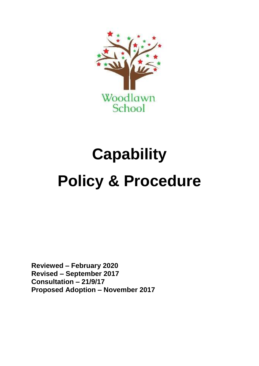

# **Capability Policy & Procedure**

**Reviewed – February 2020 Revised – September 2017 Consultation – 21/9/17 Proposed Adoption – November 2017**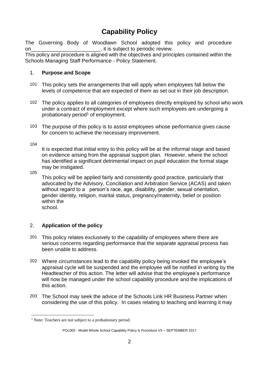# **Capability Policy**

The Governing Body of Woodlawn School adopted this policy and procedure on example on the subject to periodic review.

This policy and procedure is aligned with the objectives and principles contained within the Schools Managing Staff Performance - Policy Statement.

#### 1. **Purpose and Scope**

- 101 This policy sets the arrangements that will apply when employees fall below the levels of competence that are expected of them as set out in their job description.
- 102 The policy applies to all categories of employees directly employed by school who work under a contract of employment except where such employees are undergoing a probationary period<sup>1</sup> of employment.
- 103 The purpose of this policy is to assist employees whose performance gives cause for concern to achieve the necessary improvement.

104

It is expected that initial entry to this policy will be at the informal stage and based on evidence arising from the appraisal support plan. However, where the school has identified a significant detrimental impact on pupil education the formal stage may be instigated.

105

1

This policy will be applied fairly and consistently good practice, particularly that advocated by the Advisory, Conciliation and Arbitration Service (ACAS) and taken without regard to a person's race, age, disability, gender, sexual orientation, gender identity, religion, marital status, pregnancy/maternity, belief or position within the school.

## 2. **Application of the policy**

- 201 This policy relates exclusively to the capability of employees where there are serious concerns regarding performance that the separate appraisal process has been unable to address.
- 202 Where circumstances lead to the capability policy being invoked the employee's appraisal cycle will be suspended and the employee will be notified in writing by the Headteacher of this action. The letter will advise that the employee's performance will now be managed under the school capability procedure and the implications of this action.
- 203 The School may seek the advice of the Schools Link HR Business Partner when considering the use of this policy. In cases relating to teaching and learning it may

<sup>&</sup>lt;sup>1</sup> Note: Teachers are not subject to a probationary period.

POL005 - Model Whole School Capability Policy & Procedure V5 – SEPTEMBER 2017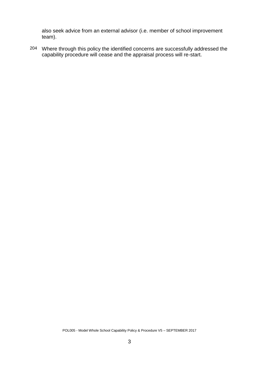also seek advice from an external advisor (i.e. member of school improvement team).

204 Where through this policy the identified concerns are successfully addressed the capability procedure will cease and the appraisal process will re-start.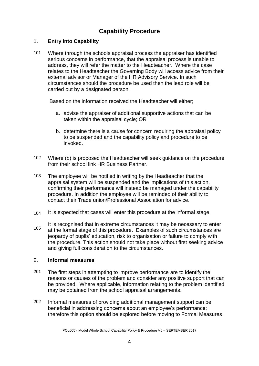# **Capability Procedure**

## 1. **Entry into Capability**

101 Where through the schools appraisal process the appraiser has identified serious concerns in performance, that the appraisal process is unable to address, they will refer the matter to the Headteacher. Where the case relates to the Headteacher the Governing Body will access advice from their external advisor or Manager of the HR Advisory Service. In such circumstances should the procedure be used then the lead role will be carried out by a designated person.

Based on the information received the Headteacher will either;

- a. advise the appraiser of additional supportive actions that can be taken within the appraisal cycle; OR
- b. determine there is a cause for concern requiring the appraisal policy to be suspended and the capability policy and procedure to be invoked.
- 102 Where (b) is proposed the Headteacher will seek guidance on the procedure from their school link HR Business Partner.
- 103 The employee will be notified in writing by the Headteacher that the appraisal system will be suspended and the implications of this action, confirming their performance will instead be managed under the capability procedure. In addition the employee will be reminded of their ability to contact their Trade union/Professional Association for advice.
- 104 It is expected that cases will enter this procedure at the informal stage.
- 105 It is recognised that in extreme circumstances it may be necessary to enter at the formal stage of this procedure. Examples of such circumstances are jeopardy of pupils' education, risk to organisation or failure to comply with the procedure. This action should not take place without first seeking advice and giving full consideration to the circumstances.

#### 2. **Informal measures**

- 201 The first steps in attempting to improve performance are to identify the reasons or causes of the problem and consider any positive support that can be provided. Where applicable, information relating to the problem identified may be obtained from the school appraisal arrangements.
- 202 Informal measures of providing additional management support can be beneficial in addressing concerns about an employee's performance; therefore this option should be explored before moving to Formal Measures.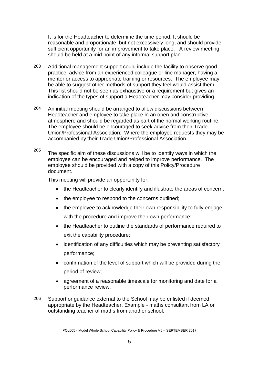It is for the Headteacher to determine the time period. It should be reasonable and proportionate, but not excessively long, and should provide sufficient opportunity for an improvement to take place. A review meeting should be held at a mid point of any informal support plan.

- 203 Additional management support could include the facility to observe good practice, advice from an experienced colleague or line manager, having a mentor or access to appropriate training or resources. The employee may be able to suggest other methods of support they feel would assist them. This list should not be seen as exhaustive or a requirement but gives an indication of the types of support a Headteacher may consider providing.
- 204 An initial meeting should be arranged to allow discussions between Headteacher and employee to take place in an open and constructive atmosphere and should be regarded as part of the normal working routine. The employee should be encouraged to seek advice from their Trade Union/Professional Association. Where the employee requests they may be accompanied by their Trade Union/Professional Association.
- $205$  The specific aim of these discussions will be to identify ways in which the employee can be encouraged and helped to improve performance. The employee should be provided with a copy of this Policy/Procedure document.

This meeting will provide an opportunity for:

- the Headteacher to clearly identify and illustrate the areas of concern;
- the employee to respond to the concerns outlined;
- the employee to acknowledge their own responsibility to fully engage with the procedure and improve their own performance;
- the Headteacher to outline the standards of performance required to exit the capability procedure;
- identification of any difficulties which may be preventing satisfactory performance;
- confirmation of the level of support which will be provided during the period of review;
- agreement of a reasonable timescale for monitoring and date for a performance review.
- 206 Support or guidance external to the School may be enlisted if deemed appropriate by the Headteacher. Example - maths consultant from LA or outstanding teacher of maths from another school.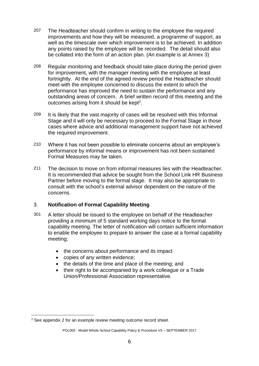- 207 The Headteacher should confirm in writing to the employee the required improvements and how they will be measured, a programme of support, as well as the timescale over which improvement is to be achieved. In addition any points raised by the employee will be recorded. The detail should also be collated into the form of an action plan. (An example is at Annex 3)
- 208 Regular monitoring and feedback should take place during the period given for improvement, with the manager meeting with the employee at least fortnightly. At the end of the agreed review period the Headteacher should meet with the employee concerned to discuss the extent to which the performance has improved the need to sustain the performance and any outstanding areas of concern. A brief written record of this meeting and the outcomes arising from it should be kept<sup>2</sup>.
- 209 It is likely that the vast majority of cases will be resolved with this Informal Stage and it will only be necessary to proceed to the Formal Stage in those cases where advice and additional management support have not achieved the required improvement.
- 210 Where it has not been possible to eliminate concerns about an employee's performance by informal means or improvement has not been sustained Formal Measures may be taken.
- 211 The decision to move on from informal measures lies with the Headteacher. It is recommended that advice be sought from the School Link HR Business Partner before moving to the formal stage. It may also be appropriate to consult with the school's external advisor dependent on the nature of the concerns.

## 3. **Notification of Formal Capability Meeting**

- 301 A letter should be issued to the employee on behalf of the Headteacher providing a minimum of 5 standard working days notice to the formal capability meeting. The letter of notification will contain sufficient information to enable the employee to prepare to answer the case at a formal capability meeting;
	- the concerns about performance and its impact
	- copies of any written evidence;
	- the details of the time and place of the meeting; and
	- their right to be accompanied by a work colleague or a Trade Union/Professional Association representative.

1

<sup>2</sup> See appendix 2 for an example review meeting outcome record sheet.

POL005 - Model Whole School Capability Policy & Procedure V5 – SEPTEMBER 2017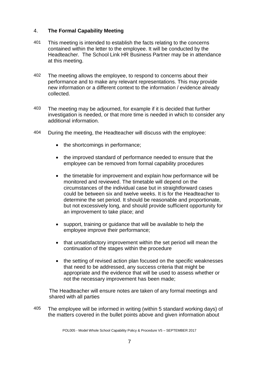#### 4. **The Formal Capability Meeting**

- 401 This meeting is intended to establish the facts relating to the concerns contained within the letter to the employee. It will be conducted by the Headteacher. The School Link HR Business Partner may be in attendance at this meeting.
- 402 The meeting allows the employee, to respond to concerns about their performance and to make any relevant representations. This may provide new information or a different context to the information / evidence already collected.
- 403 The meeting may be adjourned, for example if it is decided that further investigation is needed, or that more time is needed in which to consider any additional information.
- 404 During the meeting, the Headteacher will discuss with the employee:
	- the shortcomings in performance;
	- the improved standard of performance needed to ensure that the employee can be removed from formal capability procedures
	- the timetable for improvement and explain how performance will be monitored and reviewed. The timetable will depend on the circumstances of the individual case but in straightforward cases could be between six and twelve weeks. It is for the Headteacher to determine the set period. It should be reasonable and proportionate, but not excessively long, and should provide sufficient opportunity for an improvement to take place; and
	- support, training or guidance that will be available to help the employee improve their performance;
	- that unsatisfactory improvement within the set period will mean the continuation of the stages within the procedure
	- the setting of revised action plan focused on the specific weaknesses that need to be addressed, any success criteria that might be appropriate and the evidence that will be used to assess whether or not the necessary improvement has been made;

The Headteacher will ensure notes are taken of any formal meetings and shared with all parties

405 The employee will be informed in writing (within 5 standard working days) of the matters covered in the bullet points above and given information about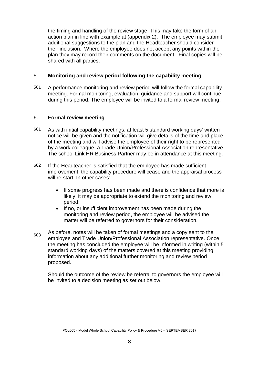the timing and handling of the review stage. This may take the form of an action plan in line with example at (appendix 2). The employee may submit additional suggestions to the plan and the Headteacher should consider their inclusion. Where the employee does not accept any points within the plan they may record their comments on the document. Final copies will be shared with all parties.

#### 5. **Monitoring and review period following the capability meeting**

501 A performance monitoring and review period will follow the formal capability meeting. Formal monitoring, evaluation, guidance and support will continue during this period. The employee will be invited to a formal review meeting.

#### 6. **Formal review meeting**

- 601 As with initial capability meetings, at least 5 standard working days' written notice will be given and the notification will give details of the time and place of the meeting and will advise the employee of their right to be represented by a work colleague, a Trade Union/Professional Association representative. The school Link HR Business Partner may be in attendance at this meeting.
- 602 If the Headteacher is satisfied that the employee has made sufficient improvement, the capability procedure will cease and the appraisal process will re-start. In other cases:
	- If some progress has been made and there is confidence that more is likely, it may be appropriate to extend the monitoring and review period;
	- If no, or insufficient improvement has been made during the monitoring and review period, the employee will be advised the matter will be referred to governors for their consideration.
- $603$  As before, notes will be taken of formal meetings and a copy sent to the employee and Trade Union/Professional Association representative. Once the meeting has concluded the employee will be informed in writing (within 5 standard working days) of the matters covered at this meeting providing information about any additional further monitoring and review period proposed.

Should the outcome of the review be referral to governors the employee will be invited to a decision meeting as set out below.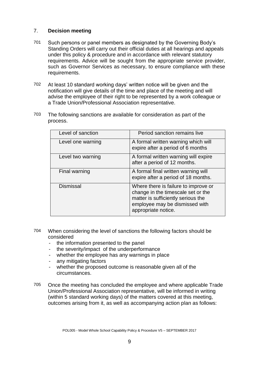#### 7. **Decision meeting**

- 701 Such persons or panel members as designated by the Governing Body's Standing Orders will carry out their official duties at all hearings and appeals under this policy & procedure and in accordance with relevant statutory requirements. Advice will be sought from the appropriate service provider, such as Governor Services as necessary, to ensure compliance with these requirements.
- 702 At least 10 standard working days' written notice will be given and the notification will give details of the time and place of the meeting and will advise the employee of their right to be represented by a work colleague or a Trade Union/Professional Association representative.
- 703 The following sanctions are available for consideration as part of the process.

| Level of sanction | Period sanction remains live                                                                                                                                              |
|-------------------|---------------------------------------------------------------------------------------------------------------------------------------------------------------------------|
| Level one warning | A formal written warning which will<br>expire after a period of 6 months                                                                                                  |
| Level two warning | A formal written warning will expire<br>after a period of 12 months.                                                                                                      |
| Final warning     | A formal final written warning will<br>expire after a period of 18 months.                                                                                                |
| <b>Dismissal</b>  | Where there is failure to improve or<br>change in the timescale set or the<br>matter is sufficiently serious the<br>employee may be dismissed with<br>appropriate notice. |

- 704 When considering the level of sanctions the following factors should be considered
	- the information presented to the panel
	- the severity/impact of the underperformance
	- whether the employee has any warnings in place
	- any mitigating factors
	- whether the proposed outcome is reasonable given all of the circumstances.
- 705 Once the meeting has concluded the employee and where applicable Trade Union/Professional Association representative, will be informed in writing (within 5 standard working days) of the matters covered at this meeting, outcomes arising from it, as well as accompanying action plan as follows: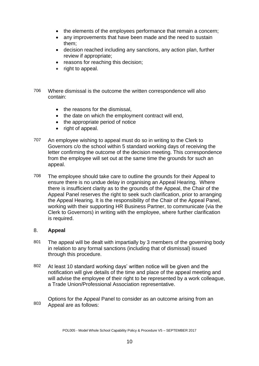- the elements of the employees performance that remain a concern;
- any improvements that have been made and the need to sustain them;
- decision reached including any sanctions, any action plan, further review if appropriate;
- reasons for reaching this decision;
- right to appeal.
- 706 Where dismissal is the outcome the written correspondence will also contain:
	- the reasons for the dismissal.
	- the date on which the employment contract will end,
	- the appropriate period of notice
	- $\bullet$  right of appeal.
- 707 An employee wishing to appeal must do so in writing to the Clerk to Governors c/o the school within 5 standard working days of receiving the letter confirming the outcome of the decision meeting. This correspondence from the employee will set out at the same time the grounds for such an appeal.
- 708 The employee should take care to outline the grounds for their Appeal to ensure there is no undue delay in organising an Appeal Hearing. Where there is insufficient clarity as to the grounds of the Appeal, the Chair of the Appeal Panel reserves the right to seek such clarification, prior to arranging the Appeal Hearing. It is the responsibility of the Chair of the Appeal Panel, working with their supporting HR Business Partner, to communicate (via the Clerk to Governors) in writing with the employee, where further clarification is required.

#### 8. **Appeal**

- 801 The appeal will be dealt with impartially by 3 members of the governing body in relation to any formal sanctions (including that of dismissal) issued through this procedure.
- 802 At least 10 standard working days' written notice will be given and the notification will give details of the time and place of the appeal meeting and will advise the employee of their right to be represented by a work colleague, a Trade Union/Professional Association representative.

803 Options for the Appeal Panel to consider as an outcome arising from an Appeal are as follows: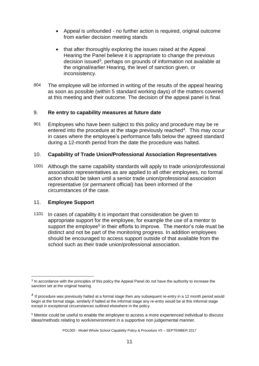- Appeal is unfounded no further action is required, original outcome from earlier decision meeting stands
- that after thoroughly exploring the issues raised at the Appeal Hearing the Panel believe it is appropriate to change the previous decision issued<sup>3</sup>, perhaps on grounds of information not available at the original/earlier Hearing, the level of sanction given, or inconsistency.
- 804 The employee will be informed in writing of the results of the appeal hearing as soon as possible (within 5 standard working days) of the matters covered at this meeting and their outcome. The decision of the appeal panel is final.

#### 9. **Re entry to capability measures at future date**

901 Employees who have been subject to this policy and procedure may be re entered into the procedure at the stage previously reached<sup>4</sup>. This may occur in cases where the employee's performance falls below the agreed standard during a 12-month period from the date the procedure was halted.

#### 10. **Capability of Trade Union/Professional Association Representatives**

1001 Although the same capability standards will apply to trade union/professional association representatives as are applied to all other employees, no formal action should be taken until a senior trade union/professional association representative (or permanent official) has been informed of the circumstances of the case.

#### 11. **Employee Support**

1

1101 In cases of capability it is important that consideration be given to appropriate support for the employee, for example the use of a mentor to support the employee<sup>5</sup> in their efforts to improve. The mentor's role must be distinct and not be part of the monitoring progress. In addition employees should be encouraged to access support outside of that available from the school such as their trade union/professional association.

<sup>&</sup>lt;sup>3</sup> In accordance with the principles of this policy the Appeal Panel do not have the authority to increase the sanction set at the original hearing.

<sup>&</sup>lt;sup>4</sup> If procedure was previously halted at a formal stage then any subsequent re-entry in a 12 month period would begin at the formal stage, similarly if halted at the informal stage any re-entry would be at this informal stage except in exceptional circumstances outlined elsewhere in the policy.

<sup>5</sup> Mentor could be useful to enable the employee to access a more experienced individual to discuss ideas/methods relating to work/environment in a supportive non judgemental manner.

POL005 - Model Whole School Capability Policy & Procedure V5 – SEPTEMBER 2017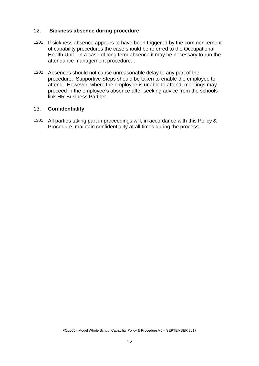#### 12. **Sickness absence during procedure**

- 1201 If sickness absence appears to have been triggered by the commencement of capability procedures the case should be referred to the Occupational Health Unit. In a case of long term absence it may be necessary to run the attendance management procedure. .
- 1202 Absences should not cause unreasonable delay to any part of the procedure. Supportive Steps should be taken to enable the employee to attend. However, where the employee is unable to attend, meetings may proceed in the employee's absence after seeking advice from the schools link HR Business Partner.

#### 13. **Confidentiality**

1301 All parties taking part in proceedings will, in accordance with this Policy & Procedure, maintain confidentiality at all times during the process.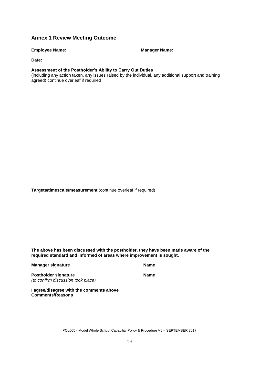#### **Annex 1 Review Meeting Outcome**

**Employee Name: Manager Name: Manager Name: Manager Name: Manager Name: Manager Name: Manager Name: Manager Manager Manager Manager Manager Manager Manager Manager Manager Manager Manager** 

**Date:**

#### **Assessment of the Postholder's Ability to Carry Out Duties**

(including any action taken, any issues raised by the individual, any additional support and training agreed) continue overleaf if required

**Targets/timescale/measurement** (continue overleaf if required)

**The above has been discussed with the postholder, they have been made aware of the required standard and informed of areas where improvement is sought.**

**Manager signature Name** Name

Postholder signature **Name** *(to confirm discussion took place)* 

**I agree/disagree with the comments above Comments/Reasons**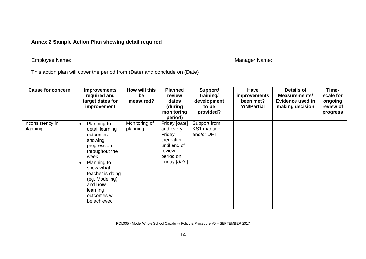# **Annex 2 Sample Action Plan showing detail required**

# Employee Name: We are also a state of the state of the Manager Name: Manager Name: Manager Name:

This action plan will cover the period from (Date) and conclude on (Date)

| <b>Cause for concern</b>     | <b>Improvements</b><br>required and<br>target dates for<br>improvement                                                                                                                                                                      | How will this<br>be<br>measured? | <b>Planned</b><br>review<br>dates<br>(during<br>monitoring<br>period)                                      | Support/<br>training/<br>development<br>to be<br>provided? | Have<br>improvements<br>been met?<br><b>Y/N/Partial</b> | Details of<br><b>Measurements/</b><br>Evidence used in<br>making decision | Time-<br>scale for<br>ongoing<br>review of<br>progress |
|------------------------------|---------------------------------------------------------------------------------------------------------------------------------------------------------------------------------------------------------------------------------------------|----------------------------------|------------------------------------------------------------------------------------------------------------|------------------------------------------------------------|---------------------------------------------------------|---------------------------------------------------------------------------|--------------------------------------------------------|
| Inconsistency in<br>planning | Planning to<br>$\bullet$<br>detail learning<br>outcomes<br>showing<br>progression<br>throughout the<br>week<br>Planning to<br>show what<br>teacher is doing<br>(eg. Modeling)<br>and <b>how</b><br>learning<br>outcomes will<br>be achieved | Monitoring of<br>planning        | Friday [date]<br>and every<br>Friday<br>thereafter<br>until end of<br>review<br>period on<br>Friday [date] | Support from<br>KS1 manager<br>and/or DHT                  |                                                         |                                                                           |                                                        |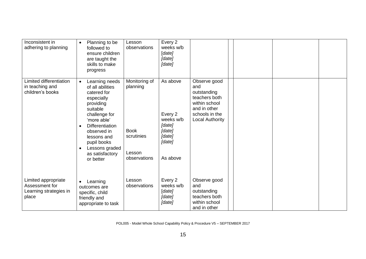| Inconsistent in<br>adhering to planning                                  | Planning to be<br>$\bullet$<br>followed to<br>ensure children<br>are taught the<br>skills to make<br>progress                                                                                                                                                                            | Lesson<br>observations                                                           | Every 2<br>weeks w/b<br>[date]<br>[date]<br>[date]                                   |                                                                                                                                  |  |  |
|--------------------------------------------------------------------------|------------------------------------------------------------------------------------------------------------------------------------------------------------------------------------------------------------------------------------------------------------------------------------------|----------------------------------------------------------------------------------|--------------------------------------------------------------------------------------|----------------------------------------------------------------------------------------------------------------------------------|--|--|
| Limited differentiation<br>in teaching and<br>children's books           | Learning needs<br>$\bullet$<br>of all abilities<br>catered for<br>especially<br>providing<br>suitable<br>challenge for<br>'more able'<br><b>Differentiation</b><br>$\bullet$<br>observed in<br>lessons and<br>pupil books<br>Lessons graded<br>$\bullet$<br>as satisfactory<br>or better | Monitoring of<br>planning<br><b>Book</b><br>scrutinies<br>Lesson<br>observations | As above<br>Every 2<br>weeks w/b<br>[date]<br>[date]<br>[date]<br>[date]<br>As above | Observe good<br>and<br>outstanding<br>teachers both<br>within school<br>and in other<br>schools in the<br><b>Local Authority</b> |  |  |
| Limited appropriate<br>Assessment for<br>Learning strategies in<br>place | Learning<br>$\bullet$<br>outcomes are<br>specific, child<br>friendly and<br>appropriate to task                                                                                                                                                                                          | Lesson<br>observations                                                           | Every 2<br>weeks w/b<br>[date]<br>[date]<br>[date]                                   | Observe good<br>and<br>outstanding<br>teachers both<br>within school<br>and in other                                             |  |  |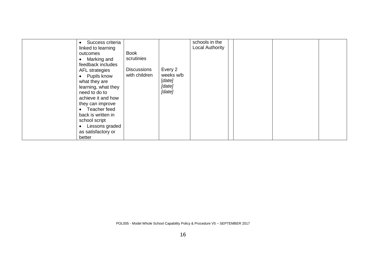| Success criteria<br>linked to learning<br>outcomes<br>Marking and<br>feedback includes<br>AFL strategies<br>Pupils know<br>what they are<br>learning, what they<br>need to do to<br>achieve it and how<br>they can improve<br>Teacher feed<br>$\bullet$<br>back is written in<br>school script<br>Lessons graded<br>as satisfactory or | <b>Book</b><br>scrutinies<br><b>Discussions</b><br>with children | Every 2<br>weeks w/b<br>[date]<br>[date]<br>[date] | schools in the<br>Local Authority |  |  |  |
|----------------------------------------------------------------------------------------------------------------------------------------------------------------------------------------------------------------------------------------------------------------------------------------------------------------------------------------|------------------------------------------------------------------|----------------------------------------------------|-----------------------------------|--|--|--|
|----------------------------------------------------------------------------------------------------------------------------------------------------------------------------------------------------------------------------------------------------------------------------------------------------------------------------------------|------------------------------------------------------------------|----------------------------------------------------|-----------------------------------|--|--|--|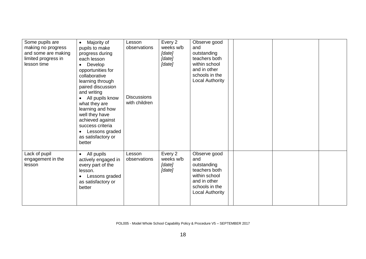| Some pupils are<br>making no progress<br>and some are making<br>limited progress in<br>lesson time | Majority of<br>$\bullet$<br>pupils to make<br>progress during<br>each lesson<br>Develop<br>$\bullet$<br>opportunities for<br>collaborative<br>learning through<br>paired discussion<br>and writing<br>All pupils know<br>$\bullet$<br>what they are<br>learning and how<br>well they have<br>achieved against<br>success criteria<br>Lessons graded<br>$\bullet$<br>as satisfactory or<br>better | Lesson<br>observations<br><b>Discussions</b><br>with children | Every 2<br>weeks w/b<br>[date]<br>[date]<br>[date] | Observe good<br>and<br>outstanding<br>teachers both<br>within school<br>and in other<br>schools in the<br>Local Authority        |  |  |
|----------------------------------------------------------------------------------------------------|--------------------------------------------------------------------------------------------------------------------------------------------------------------------------------------------------------------------------------------------------------------------------------------------------------------------------------------------------------------------------------------------------|---------------------------------------------------------------|----------------------------------------------------|----------------------------------------------------------------------------------------------------------------------------------|--|--|
| Lack of pupil<br>engagement in the<br>lesson                                                       | All pupils<br>$\bullet$<br>actively engaged in<br>every part of the<br>lesson.<br>Lessons graded<br>$\bullet$<br>as satisfactory or<br>better                                                                                                                                                                                                                                                    | Lesson<br>observations                                        | Every 2<br>weeks w/b<br>[date]<br>[date]           | Observe good<br>and<br>outstanding<br>teachers both<br>within school<br>and in other<br>schools in the<br><b>Local Authority</b> |  |  |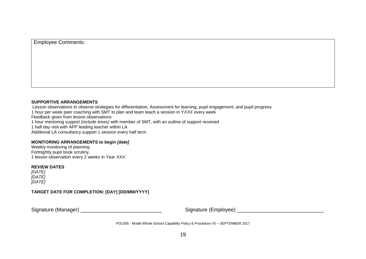#### **SUPPORTIVE ARRANGEMENTS**

Lesson observations to observe strategies for differentiation, Assessment for learning, pupil engagement, and pupil progress. 1 hour per week peer coaching with SMT to plan and team teach a session in Y*XXX* every week Feedback given from lesson observations 1 hour mentoring support *(include times)* with member of SMT, with an outline of support received 1 half day visit with APP leading teacher within LA Additional LA consultancy support 1 session every half term

#### **MONITORING ARRANGEMENTS to begin** *[date]*

Weekly monitoring of planning Fortnightly pupil book scrutiny. 1 lesson observation every 2 weeks in Year *XXX*.

#### **REVIEW DATES**

*[DATE] [DATE] [DATE]*

**TARGET DATE FOR COMPLETION: [DAY] [DD/MM/YYYY]**

Signature (Manager) \_\_\_\_\_\_\_\_\_\_\_\_\_\_\_\_\_\_\_\_\_\_\_\_\_\_\_\_ Signature (Employee) \_\_\_\_\_\_\_\_\_\_\_\_\_\_\_\_\_\_\_\_\_\_\_\_\_\_\_\_\_\_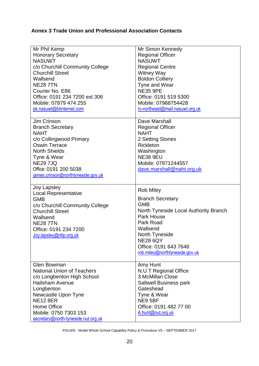# **Annex 3 Trade Union and Professional Association Contacts**

| Mr Phil Kemp<br><b>Honorary Secretary</b><br><b>NASUWT</b><br>c/o Churchill Community College<br><b>Churchill Street</b><br>Wallsend<br><b>NE28 7TN</b><br>Courier No. E86<br>Office: 0191 234 7200 ext 306<br>Mobile: 07879 474 255                          | Mr Simon Kennedy<br><b>Regional Officer</b><br><b>NASUWT</b><br><b>Regional Centre</b><br><b>Witney Way</b><br><b>Boldon Colliery</b><br>Tyne and Wear<br><b>NE35 9PE</b><br>Office: 0191 519 5300<br>Mobile: 07968754428          |
|---------------------------------------------------------------------------------------------------------------------------------------------------------------------------------------------------------------------------------------------------------------|------------------------------------------------------------------------------------------------------------------------------------------------------------------------------------------------------------------------------------|
| pk.nasuwt@btinternet.com                                                                                                                                                                                                                                      | rc-northeast@mail.nasuwt.org.uk                                                                                                                                                                                                    |
| <b>Jim Crinson</b><br><b>Branch Secretary</b><br><b>NAHT</b><br>c/o Collingwood Primary<br><b>Oswin Terrace</b><br><b>North Shields</b><br>Tyne & Wear<br><b>NE29 7JQ</b><br>Office: 0191 200 5038<br>james.crinson@northtyneside.gov.uk                      | Dave Marshall<br><b>Regional Officer</b><br><b>NAHT</b><br>2 Setting Stones<br><b>Rickleton</b><br>Washington<br><b>NE38 9EU</b><br>Mobile: 07971244557<br>dave.marshall@naht.org.uk                                               |
| <b>Joy Lapsley</b><br><b>Local Representative</b><br><b>GMB</b><br>c/o Churchill Community College<br><b>Churchill Street</b><br>Wallsend<br><b>NE28 7TN</b><br>Office: 0191 234 7200<br>Joy.lapsley@ntlp.org.uk                                              | <b>Rob Miley</b><br><b>Branch Secretary</b><br>GMB<br>North Tyneside Local Authority Branch<br>Park House<br>Park Road<br>Wallsend<br>North Tyneside<br><b>NE28 6QY</b><br>Office: 0191 643 7648<br>rob.miley@northtyneside.gov.uk |
| <b>Glen Bowman</b><br><b>National Union of Teachers</b><br>c/o Longbenton High School<br><b>Hailsham Avenue</b><br>Longbenton<br>Newcastle Upon Tyne<br><b>NE12 8ER</b><br><b>Home Office</b><br>Mobile: 0750 7303 153<br>secretary@north-tyneside.nut.org.uk | Amy Hunt<br>N.U.T Regional Office<br>3 McMillan Close<br>Saltwell Business park<br>Gateshead<br>Tyne & Wear<br>NE9 5BF<br>Office: 0191 482 77 00<br>A.hunt@nut.org.uk                                                              |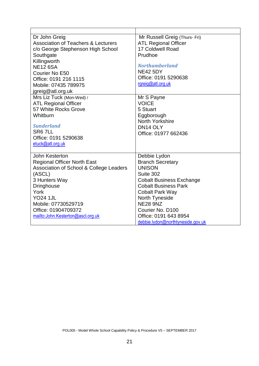| Dr John Greig<br><b>Association of Teachers &amp; Lecturers</b><br>c/o George Stephenson High School<br>Southgate<br>Killingworth<br><b>NE12 6SA</b><br>Courier No E50<br>Office: 0191 216 1115<br>Mobile: 07435 789975<br>jgreig@atl.org.uk<br>Mrs Liz Tuck (Mon-Wed) / | Mr Russell Greig (Thurs- Fri)<br><b>ATL Regional Officer</b><br>17 Coldwell Road<br>Prudhoe<br><b>Northumberland</b><br><b>NE42 5DY</b><br>Office: 0191 5290638<br>rgreig@atl.org.uk<br>Mr S Payne |
|--------------------------------------------------------------------------------------------------------------------------------------------------------------------------------------------------------------------------------------------------------------------------|----------------------------------------------------------------------------------------------------------------------------------------------------------------------------------------------------|
| <b>ATL Regional Officer</b><br>57 White Rocks Grove                                                                                                                                                                                                                      | <b>VOICE</b><br>5 Stuart                                                                                                                                                                           |
| Whitburn                                                                                                                                                                                                                                                                 | Eggborough                                                                                                                                                                                         |
| <b>Sunderland</b><br>SR <sub>6</sub> 7LL<br>Office: 0191 5290638<br>etuck@atl.org.uk                                                                                                                                                                                     | North Yorkshire<br>DN14 OLY<br>Office: 01977 662436                                                                                                                                                |
| John Kesterton                                                                                                                                                                                                                                                           | Debbie Lydon                                                                                                                                                                                       |
| <b>Regional Officer North East</b><br>Association of School & College Leaders                                                                                                                                                                                            | <b>Branch Secretary</b><br><b>UNISON</b>                                                                                                                                                           |
| (ASCL)                                                                                                                                                                                                                                                                   | Suite 302                                                                                                                                                                                          |
| 3 Hunters Way                                                                                                                                                                                                                                                            | <b>Cobalt Business Exchange</b>                                                                                                                                                                    |
| <b>Dringhouse</b>                                                                                                                                                                                                                                                        | <b>Cobalt Business Park</b>                                                                                                                                                                        |
| York<br><b>YO24 1JL</b>                                                                                                                                                                                                                                                  | <b>Cobalt Park Way</b>                                                                                                                                                                             |
| Mobile: 07730529719                                                                                                                                                                                                                                                      | North Tyneside<br><b>NE28 9NZ</b>                                                                                                                                                                  |
| Office: 01904709372                                                                                                                                                                                                                                                      | Courier No. D100                                                                                                                                                                                   |
| mailto:John.Kesterton@ascl.org.uk                                                                                                                                                                                                                                        | Office: 0191 643 8954                                                                                                                                                                              |
|                                                                                                                                                                                                                                                                          | debbie.lydon@northtyneside.gov.uk                                                                                                                                                                  |